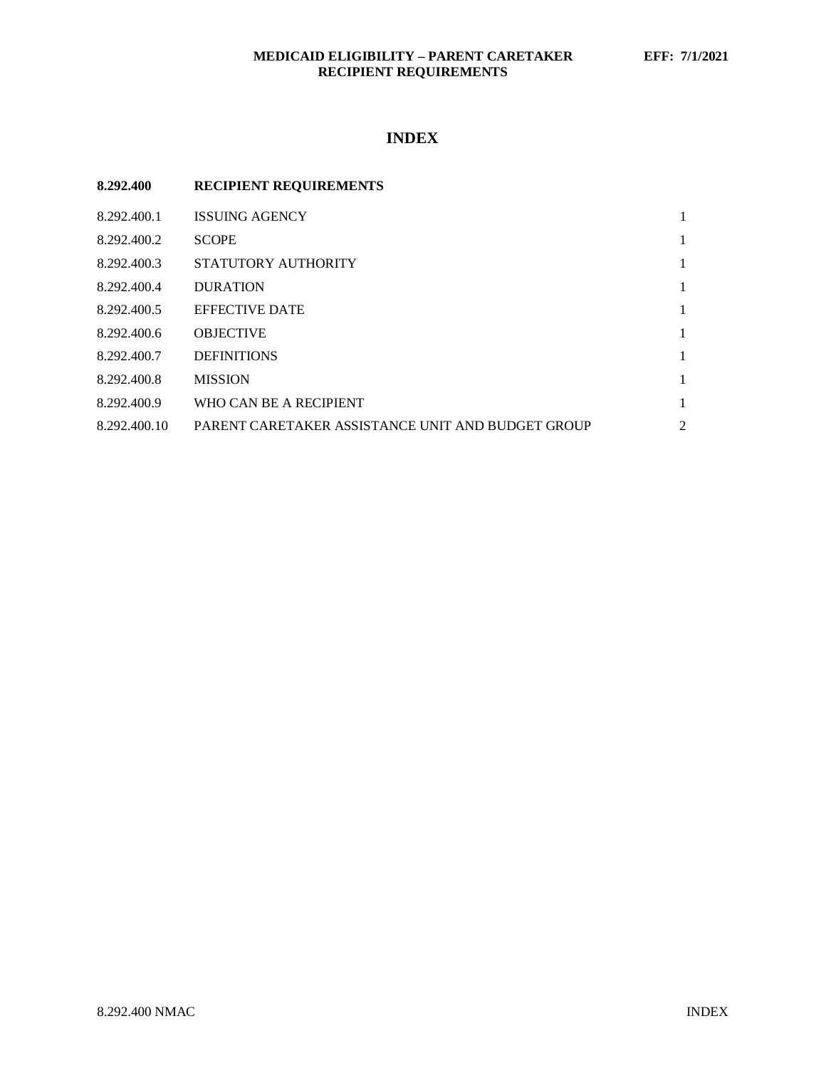# **MEDICAID ELIGIBILITY – PARENT CARETAKER EFF: 7/1/2021 RECIPIENT REQUIREMENTS**

# **INDEX**

| 8.292.400    | <b>RECIPIENT REQUIREMENTS</b>                     |                |
|--------------|---------------------------------------------------|----------------|
| 8.292.400.1  | <b>ISSUING AGENCY</b>                             |                |
| 8.292.400.2  | <b>SCOPE</b>                                      | 1              |
| 8.292.400.3  | STATUTORY AUTHORITY                               | 1              |
| 8.292.400.4  | <b>DURATION</b>                                   | 1              |
| 8.292.400.5  | <b>EFFECTIVE DATE</b>                             | 1              |
| 8.292.400.6  | <b>OBJECTIVE</b>                                  |                |
| 8.292.400.7  | <b>DEFINITIONS</b>                                | 1              |
| 8.292.400.8  | <b>MISSION</b>                                    | 1              |
| 8.292.400.9  | WHO CAN BE A RECIPIENT                            | 1              |
| 8.292.400.10 | PARENT CARETAKER ASSISTANCE UNIT AND BUDGET GROUP | $\overline{2}$ |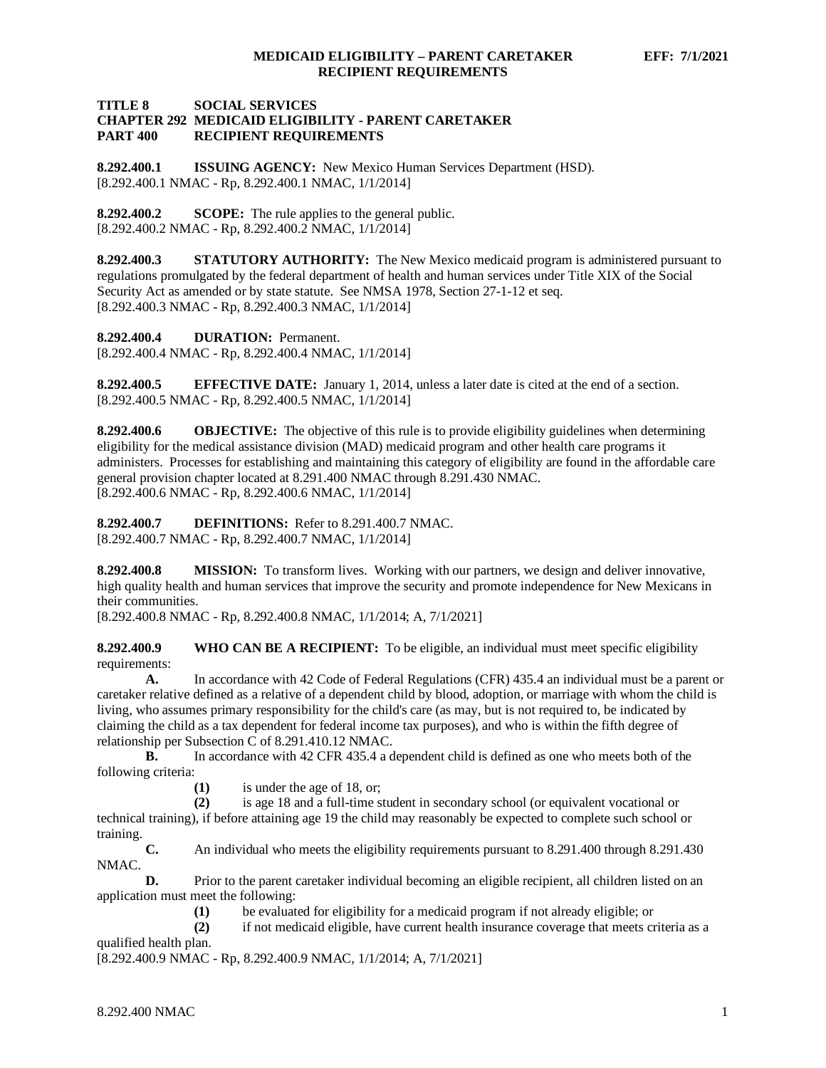### **TITLE 8 SOCIAL SERVICES CHAPTER 292 MEDICAID ELIGIBILITY - PARENT CARETAKER RECIPIENT REQUIREMENTS**

<span id="page-1-0"></span>**8.292.400.1 ISSUING AGENCY:** New Mexico Human Services Department (HSD). [8.292.400.1 NMAC - Rp, 8.292.400.1 NMAC, 1/1/2014]

<span id="page-1-1"></span>**8.292.400.2 SCOPE:** The rule applies to the general public. [8.292.400.2 NMAC - Rp, 8.292.400.2 NMAC, 1/1/2014]

<span id="page-1-2"></span>**8.292.400.3 STATUTORY AUTHORITY:** The New Mexico medicaid program is administered pursuant to regulations promulgated by the federal department of health and human services under Title XIX of the Social Security Act as amended or by state statute. See NMSA 1978, Section 27-1-12 et seq. [8.292.400.3 NMAC - Rp, 8.292.400.3 NMAC, 1/1/2014]

<span id="page-1-3"></span>**8.292.400.4 DURATION:** Permanent.

[8.292.400.4 NMAC - Rp, 8.292.400.4 NMAC, 1/1/2014]

<span id="page-1-4"></span>**8.292.400.5 EFFECTIVE DATE:** January 1, 2014, unless a later date is cited at the end of a section. [8.292.400.5 NMAC - Rp, 8.292.400.5 NMAC, 1/1/2014]

<span id="page-1-5"></span>**8.292.400.6 OBJECTIVE:** The objective of this rule is to provide eligibility guidelines when determining eligibility for the medical assistance division (MAD) medicaid program and other health care programs it administers. Processes for establishing and maintaining this category of eligibility are found in the affordable care general provision chapter located at 8.291.400 NMAC through 8.291.430 NMAC. [8.292.400.6 NMAC - Rp, 8.292.400.6 NMAC, 1/1/2014]

<span id="page-1-6"></span>**8.292.400.7 DEFINITIONS:** Refer to 8.291.400.7 NMAC. [8.292.400.7 NMAC - Rp, 8.292.400.7 NMAC, 1/1/2014]

<span id="page-1-7"></span>**8.292.400.8 MISSION:** To transform lives. Working with our partners, we design and deliver innovative, high quality health and human services that improve the security and promote independence for New Mexicans in their communities.

[8.292.400.8 NMAC - Rp, 8.292.400.8 NMAC, 1/1/2014; A, 7/1/2021]

<span id="page-1-8"></span>**8.292.400.9 WHO CAN BE A RECIPIENT:** To be eligible, an individual must meet specific eligibility requirements:

**A.** In accordance with 42 Code of Federal Regulations (CFR) 435.4 an individual must be a parent or caretaker relative defined as a relative of a dependent child by blood, adoption, or marriage with whom the child is living, who assumes primary responsibility for the child's care (as may, but is not required to, be indicated by claiming the child as a tax dependent for federal income tax purposes), and who is within the fifth degree of relationship per Subsection C of 8.291.410.12 NMAC.

**B.** In accordance with 42 CFR 435.4 a dependent child is defined as one who meets both of the following criteria:

(1) is under the age of 18, or;<br>(2) is age 18 and a full-time s

**(2)** is age 18 and a full-time student in secondary school (or equivalent vocational or technical training), if before attaining age 19 the child may reasonably be expected to complete such school or training.

**C.** An individual who meets the eligibility requirements pursuant to 8.291.400 through 8.291.430 NMAC.

**D.** Prior to the parent caretaker individual becoming an eligible recipient, all children listed on an application must meet the following:

(1) be evaluated for eligibility for a medicaid program if not already eligible; or <br>(2) if not medicaid eligible, have current health insurance coverage that meets cr

**(2)** if not medicaid eligible, have current health insurance coverage that meets criteria as a qualified health plan.

[8.292.400.9 NMAC - Rp, 8.292.400.9 NMAC, 1/1/2014; A, 7/1/2021]